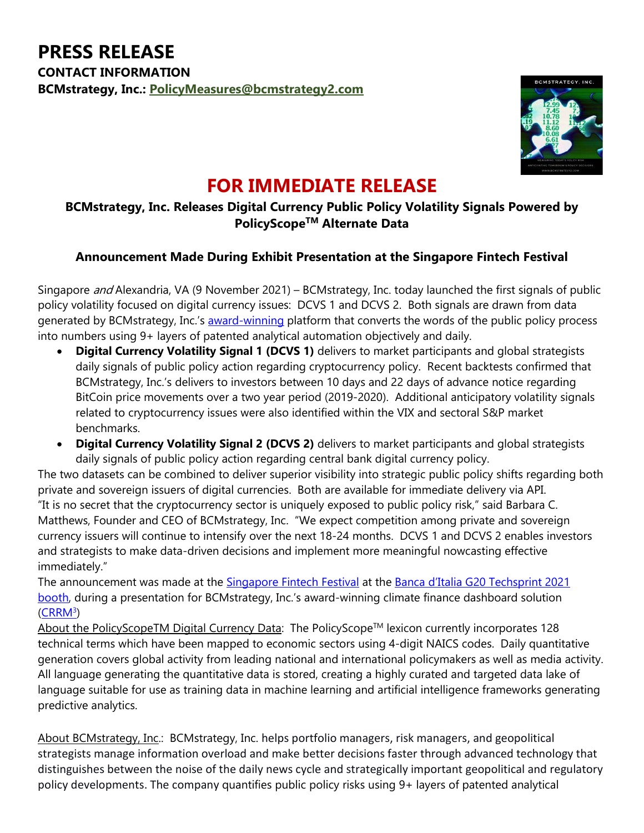

## **FOR IMMEDIATE RELEASE**

## **BCMstrategy, Inc. Releases Digital Currency Public Policy Volatility Signals Powered by PolicyScopeTM Alternate Data**

## **Announcement Made During Exhibit Presentation at the Singapore Fintech Festival**

Singapore *and* Alexandria, VA (9 November 2021) – BCMstrategy, Inc. today launched the first signals of public policy volatility focused on digital currency issues: DCVS 1 and DCVS 2. Both signals are drawn from data generated by BCMstrategy, Inc.'s [award-winning](https://www.bis.org/press/p210625.htm) platform that converts the words of the public policy process into numbers using 9+ layers of patented analytical automation objectively and daily.

- **Digital Currency Volatility Signal 1 (DCVS 1)** delivers to market participants and global strategists daily signals of public policy action regarding cryptocurrency policy. Recent backtests confirmed that BCMstrategy, Inc.'s delivers to investors between 10 days and 22 days of advance notice regarding BitCoin price movements over a two year period (2019-2020). Additional anticipatory volatility signals related to cryptocurrency issues were also identified within the VIX and sectoral S&P market benchmarks.
- **Digital Currency Volatility Signal 2 (DCVS 2)** delivers to market participants and global strategists daily signals of public policy action regarding central bank digital currency policy.

The two datasets can be combined to deliver superior visibility into strategic public policy shifts regarding both private and sovereign issuers of digital currencies. Both are available for immediate delivery via API. "It is no secret that the cryptocurrency sector is uniquely exposed to public policy risk," said Barbara C. Matthews, Founder and CEO of BCMstrategy, Inc. "We expect competition among private and sovereign currency issuers will continue to intensify over the next 18-24 months. DCVS 1 and DCVS 2 enables investors and strategists to make data-driven decisions and implement more meaningful nowcasting effective immediately."

The announcement was made at the [Singapore Fintech Festival](https://www.fintechfestival.sg/) at the [Banca d'Italia G20 Techsprint 2021](https://www.gevme.com/page/sff2021-bancasff)  [booth,](https://www.gevme.com/page/sff2021-bancasff) during a presentation for BCMstrategy, Inc.'s award-winning climate finance dashboard solution (CRRM<sup>3</sup>)

About the PolicyScopeTM Digital Currency Data: The PolicyScope™ lexicon currently incorporates 128 technical terms which have been mapped to economic sectors using 4-digit NAICS codes. Daily quantitative generation covers global activity from leading national and international policymakers as well as media activity. All language generating the quantitative data is stored, creating a highly curated and targeted data lake of language suitable for use as training data in machine learning and artificial intelligence frameworks generating predictive analytics.

About BCMstrategy, Inc.: BCMstrategy, Inc. helps portfolio managers, risk managers, and geopolitical strategists manage information overload and make better decisions faster through advanced technology that distinguishes between the noise of the daily news cycle and strategically important geopolitical and regulatory policy developments. The company quantifies public policy risks using 9+ layers of patented analytical